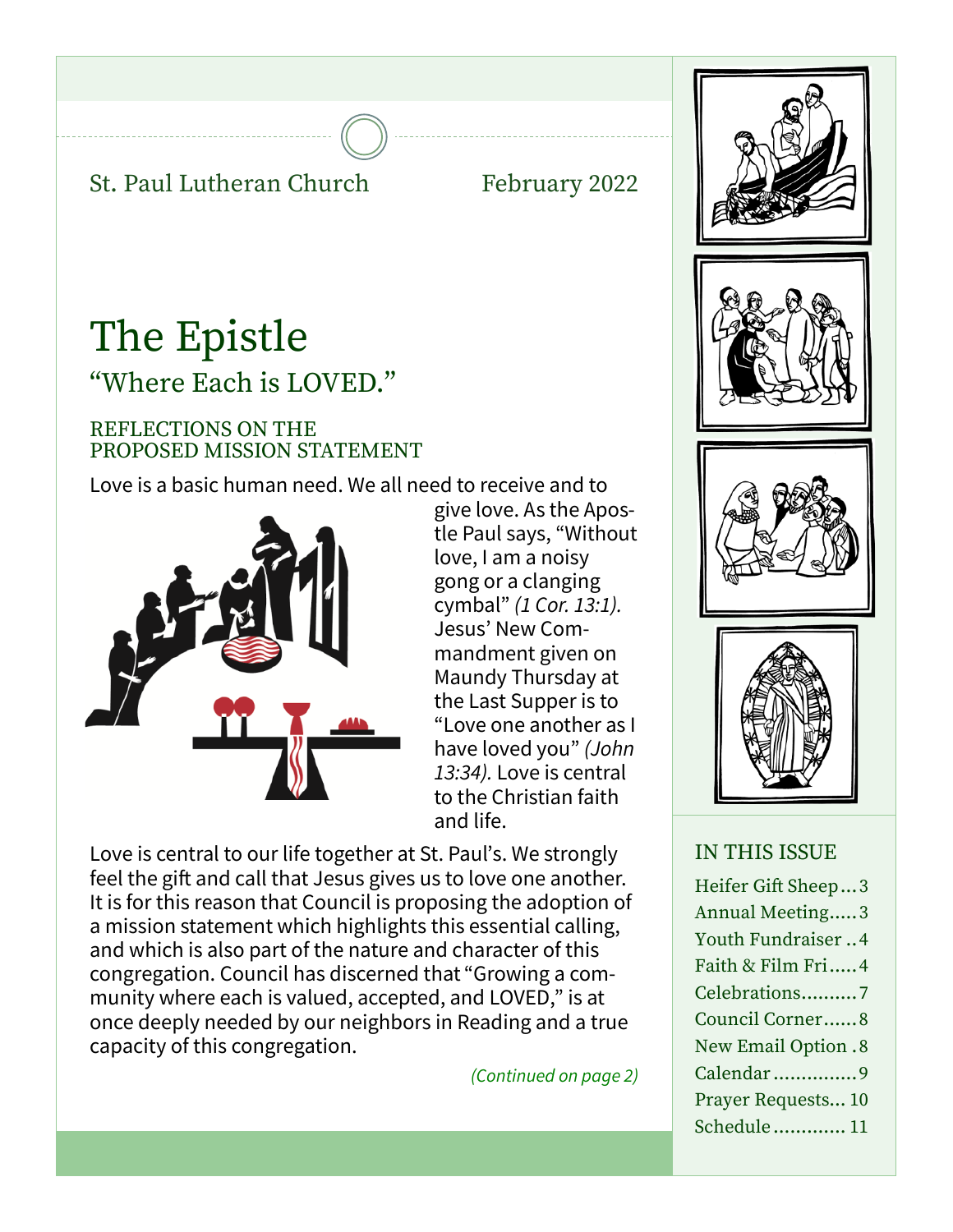## St. Paul Lutheran Church February 2022

# The Epistle "Where Each is LOVED."

#### REFLECTIONS ON THE PROPOSED MISSION STATEMENT

Love is a basic human need. We all need to receive and to



give love. As the Apostle Paul says, "Without love, I am a noisy gong or a clanging cymbal" *(1 Cor. 13:1).*  Jesus' New Commandment given on Maundy Thursday at the Last Supper is to "Love one another as I have loved you" *(John 13:34).* Love is central to the Christian faith and life.

Love is central to our life together at St. Paul's. We strongly feel the gift and call that Jesus gives us to love one another. It is for this reason that Council is proposing the adoption of a mission statement which highlights this essential calling, and which is also part of the nature and character of this congregation. Council has discerned that "Growing a community where each is valued, accepted, and LOVED," is at once deeply needed by our neighbors in Reading and a true capacity of this congregation.

*(Continued on page 2)*



### IN THIS ISSUE

Heifer Gift Sheep...3 Annual Meeting.....3 Youth Fundraiser ..4 Faith & Film Fri.....4 Celebrations..........7 Council Corner......8 New Email Option .8 Calendar ...............9 Prayer Requests... 10 Schedule............. 11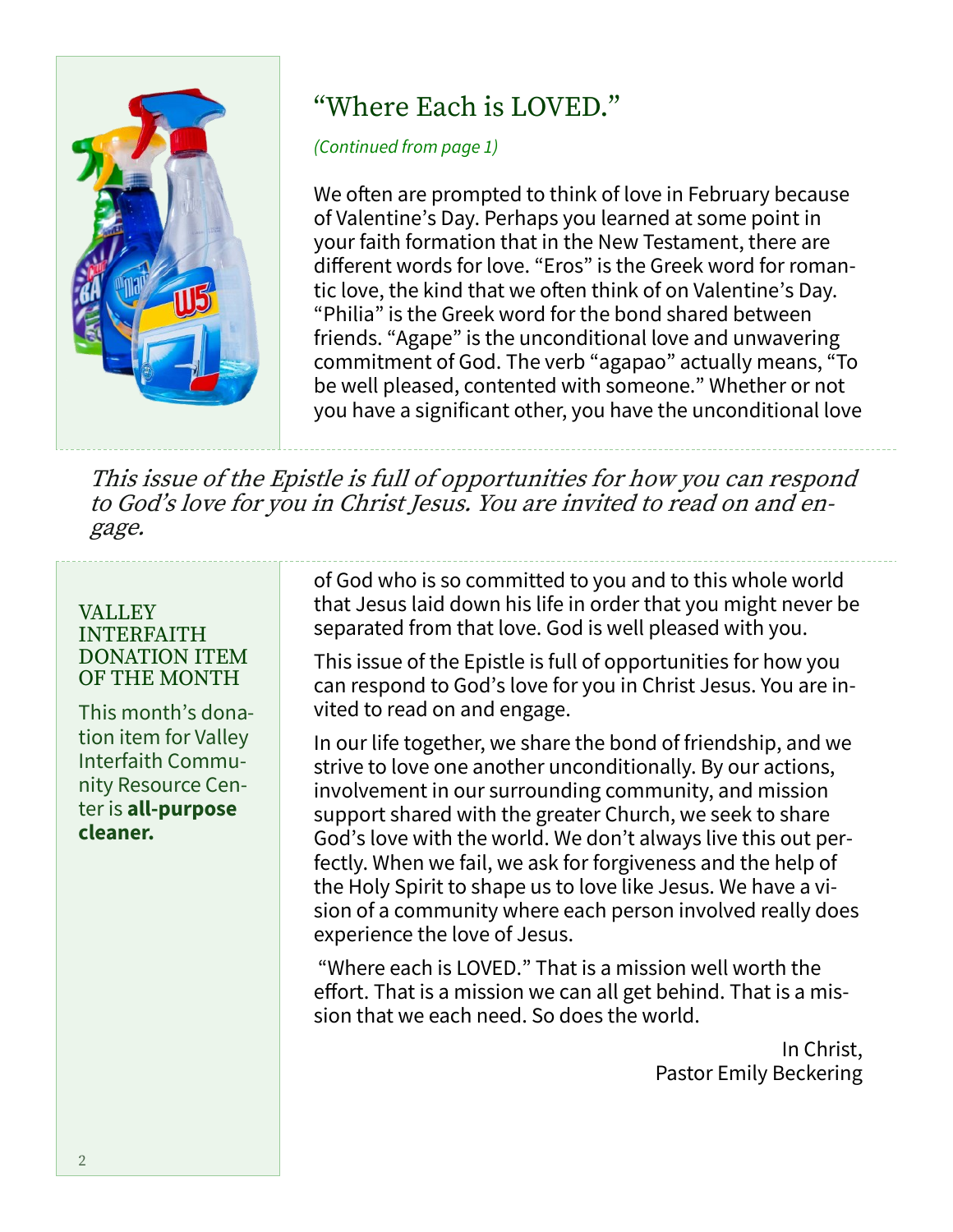

## "Where Each is LOVED."

*(Continued from page 1)*

We often are prompted to think of love in February because of Valentine's Day. Perhaps you learned at some point in your faith formation that in the New Testament, there are different words for love. "Eros" is the Greek word for romantic love, the kind that we often think of on Valentine's Day. "Philia" is the Greek word for the bond shared between friends. "Agape" is the unconditional love and unwavering commitment of God. The verb "agapao" actually means, "To be well pleased, contented with someone." Whether or not you have a significant other, you have the unconditional love

This issue of the Epistle is full of opportunities for how you can respond to God's love for you in Christ Jesus. You are invited to read on and engage.

#### VALLEY INTERFAITH DONATION ITEM OF THE MONTH

This month's donation item for Valley Interfaith Community Resource Center is **all-purpose cleaner.**

of God who is so committed to you and to this whole world that Jesus laid down his life in order that you might never be separated from that love. God is well pleased with you.

This issue of the Epistle is full of opportunities for how you can respond to God's love for you in Christ Jesus. You are invited to read on and engage.

In our life together, we share the bond of friendship, and we strive to love one another unconditionally. By our actions, involvement in our surrounding community, and mission support shared with the greater Church, we seek to share God's love with the world. We don't always live this out perfectly. When we fail, we ask for forgiveness and the help of the Holy Spirit to shape us to love like Jesus. We have a vision of a community where each person involved really does experience the love of Jesus.

"Where each is LOVED." That is a mission well worth the effort. That is a mission we can all get behind. That is a mission that we each need. So does the world.

> In Christ, Pastor Emily Beckering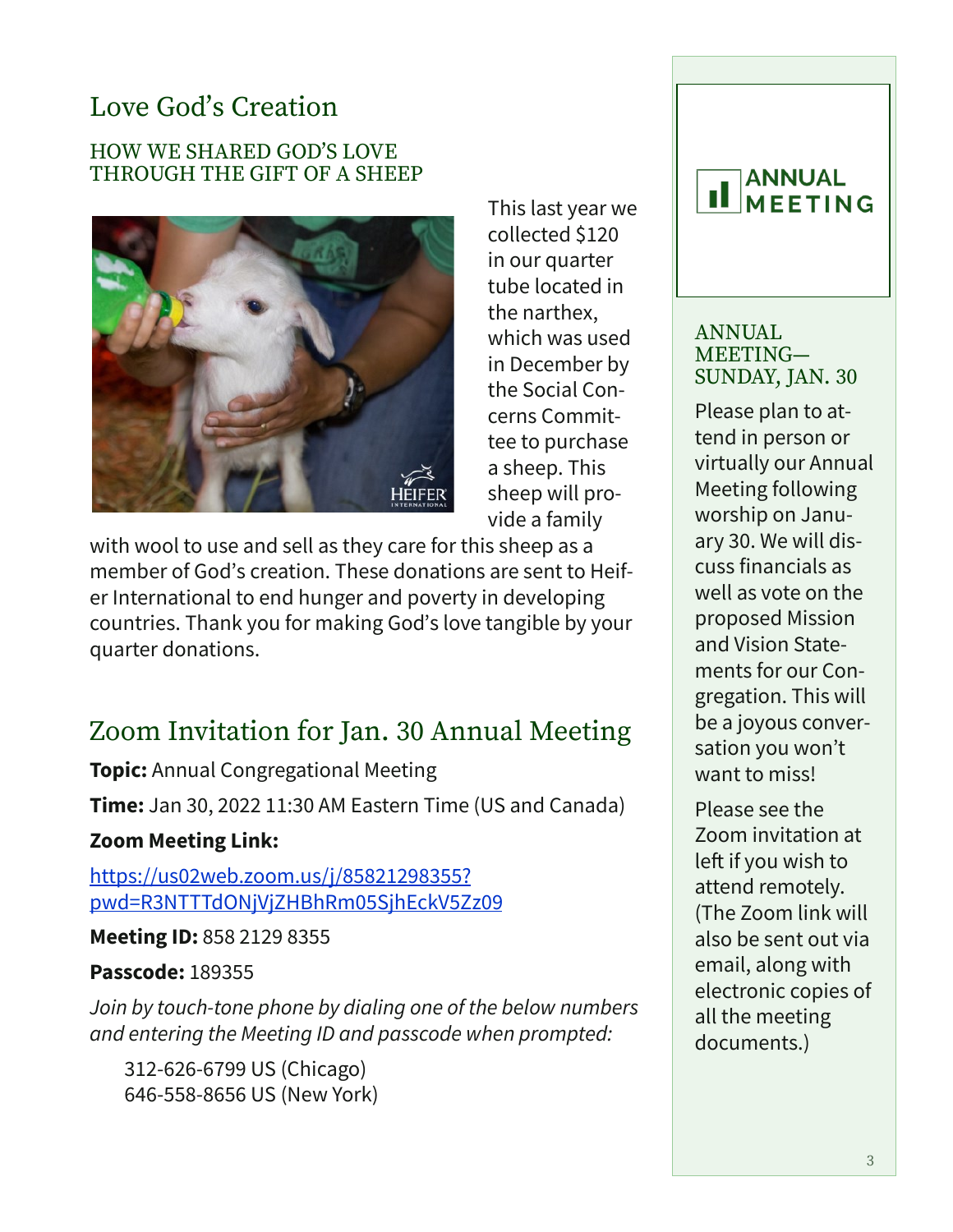## Love God's Creation

#### HOW WE SHARED GOD'S LOVE THROUGH THE GIFT OF A SHEEP



This last year we collected \$120 in our quarter tube located in the narthex, which was used in December by the Social Concerns Committee to purchase a sheep. This sheep will provide a family

with wool to use and sell as they care for this sheep as a member of God's creation. These donations are sent to Heifer International to end hunger and poverty in developing countries. Thank you for making God's love tangible by your quarter donations.

## Zoom Invitation for Jan. 30 Annual Meeting

**Topic:** Annual Congregational Meeting

**Time:** Jan 30, 2022 11:30 AM Eastern Time (US and Canada)

### **Zoom Meeting Link:**

[https://us02web.zoom.us/j/85821298355?](https://us02web.zoom.us/j/85821298355?pwd=R3NTTTdONjVjZHBhRm05SjhEckV5Zz09) [pwd=R3NTTTdONjVjZHBhRm05SjhEckV5Zz09](https://us02web.zoom.us/j/85821298355?pwd=R3NTTTdONjVjZHBhRm05SjhEckV5Zz09)

#### **Meeting ID:** 858 2129 8355

### **Passcode:** 189355

*Join by touch-tone phone by dialing one of the below numbers and entering the Meeting ID and passcode when prompted:*

 312-626-6799 US (Chicago) 646-558-8656 US (New York)

#### **ANNUAL IL** MEETING

#### ANNUAL MEETING— SUNDAY, JAN. 30

Please plan to attend in person or virtually our Annual Meeting following worship on January 30. We will discuss financials as well as vote on the proposed Mission and Vision Statements for our Congregation. This will be a joyous conversation you won't want to miss!

Please see the Zoom invitation at left if you wish to attend remotely. (The Zoom link will also be sent out via email, along with electronic copies of all the meeting documents.)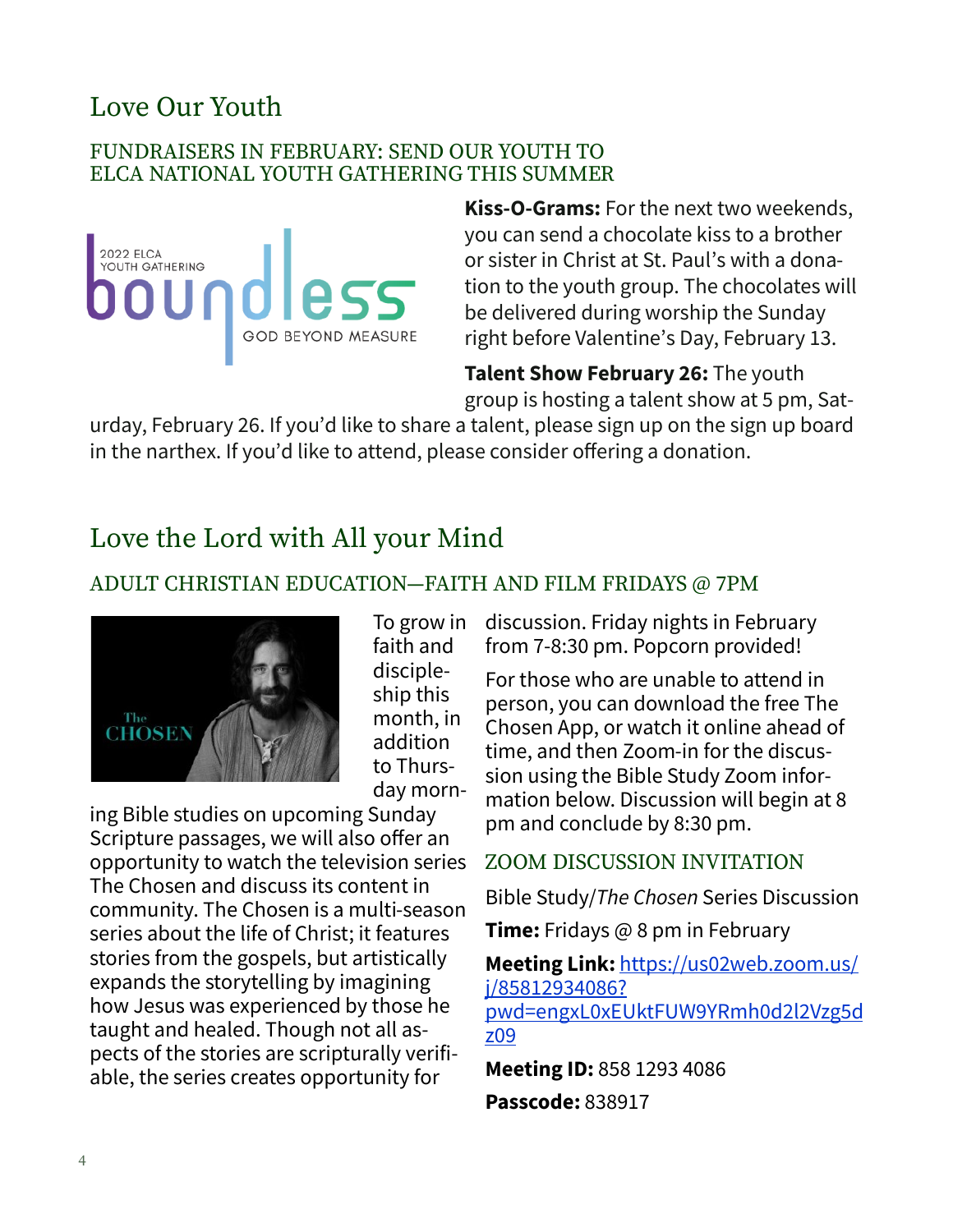## Love Our Youth

#### FUNDRAISERS IN FEBRUARY: SEND OUR YOUTH TO ELCA NATIONAL YOUTH GATHERING THIS SUMMER



**Kiss-O-Grams:** For the next two weekends, you can send a chocolate kiss to a brother or sister in Christ at St. Paul's with a donation to the youth group. The chocolates will be delivered during worship the Sunday right before Valentine's Day, February 13.

**Talent Show February 26:** The youth group is hosting a talent show at 5 pm, Sat-

urday, February 26. If you'd like to share a talent, please sign up on the sign up board in the narthex. If you'd like to attend, please consider offering a donation.

## Love the Lord with All your Mind

### ADULT CHRISTIAN EDUCATION—FAITH AND FILM FRIDAYS @ 7PM



To grow in faith and discipleship this month, in addition to Thursday morn-

ing Bible studies on upcoming Sunday Scripture passages, we will also offer an opportunity to watch the television series The Chosen and discuss its content in community. The Chosen is a multi-season series about the life of Christ; it features stories from the gospels, but artistically expands the storytelling by imagining how Jesus was experienced by those he taught and healed. Though not all aspects of the stories are scripturally verifiable, the series creates opportunity for

discussion. Friday nights in February from 7-8:30 pm. Popcorn provided!

For those who are unable to attend in person, you can download the free The Chosen App, or watch it online ahead of time, and then Zoom-in for the discussion using the Bible Study Zoom information below. Discussion will begin at 8 pm and conclude by 8:30 pm.

### ZOOM DISCUSSION INVITATION

Bible Study/*The Chosen* Series Discussion

**Time:** Fridays @ 8 pm in February

**Meeting Link:** [https://us02web.zoom.us/](https://us02web.zoom.us/j/85812934086?pwd=engxL0xEUktFUW9YRmh0d2l2Vzg5dz09) [j/85812934086?](https://us02web.zoom.us/j/85812934086?pwd=engxL0xEUktFUW9YRmh0d2l2Vzg5dz09) [pwd=engxL0xEUktFUW9YRmh0d2l2Vzg5d](https://us02web.zoom.us/j/85812934086?pwd=engxL0xEUktFUW9YRmh0d2l2Vzg5dz09) [z09](https://us02web.zoom.us/j/85812934086?pwd=engxL0xEUktFUW9YRmh0d2l2Vzg5dz09)

**Meeting ID:** 858 1293 4086 **Passcode:** 838917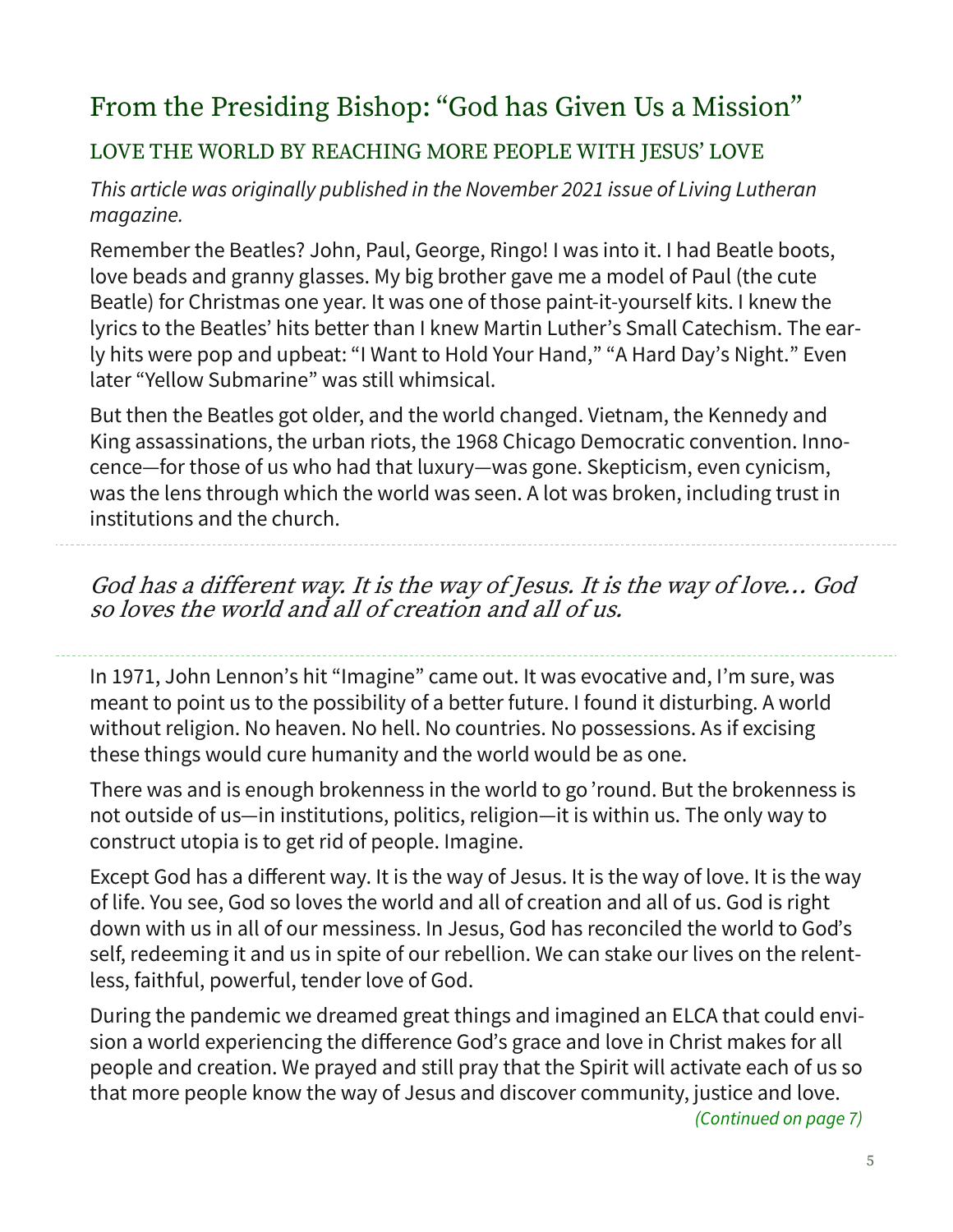## From the Presiding Bishop: "God has Given Us a Mission"

## LOVE THE WORLD BY REACHING MORE PEOPLE WITH JESUS' LOVE

*This article was originally published in the November 2021 issue of Living Lutheran magazine.*

Remember the Beatles? John, Paul, George, Ringo! I was into it. I had Beatle boots, love beads and granny glasses. My big brother gave me a model of Paul (the cute Beatle) for Christmas one year. It was one of those paint-it-yourself kits. I knew the lyrics to the Beatles' hits better than I knew Martin Luther's Small Catechism. The early hits were pop and upbeat: "I Want to Hold Your Hand," "A Hard Day's Night." Even later "Yellow Submarine" was still whimsical.

But then the Beatles got older, and the world changed. Vietnam, the Kennedy and King assassinations, the urban riots, the 1968 Chicago Democratic convention. Innocence—for those of us who had that luxury—was gone. Skepticism, even cynicism, was the lens through which the world was seen. A lot was broken, including trust in institutions and the church.

God has a different way. It is the way of Jesus. It is the way of love… God so loves the world and all of creation and all of us.

In 1971, John Lennon's hit "Imagine" came out. It was evocative and, I'm sure, was meant to point us to the possibility of a better future. I found it disturbing. A world without religion. No heaven. No hell. No countries. No possessions. As if excising these things would cure humanity and the world would be as one.

There was and is enough brokenness in the world to go 'round. But the brokenness is not outside of us—in institutions, politics, religion—it is within us. The only way to construct utopia is to get rid of people. Imagine.

Except God has a different way. It is the way of Jesus. It is the way of love. It is the way of life. You see, God so loves the world and all of creation and all of us. God is right down with us in all of our messiness. In Jesus, God has reconciled the world to God's self, redeeming it and us in spite of our rebellion. We can stake our lives on the relentless, faithful, powerful, tender love of God.

During the pandemic we dreamed great things and imagined an ELCA that could envision a world experiencing the difference God's grace and love in Christ makes for all people and creation. We prayed and still pray that the Spirit will activate each of us so that more people know the way of Jesus and discover community, justice and love.

*(Continued on page 7)*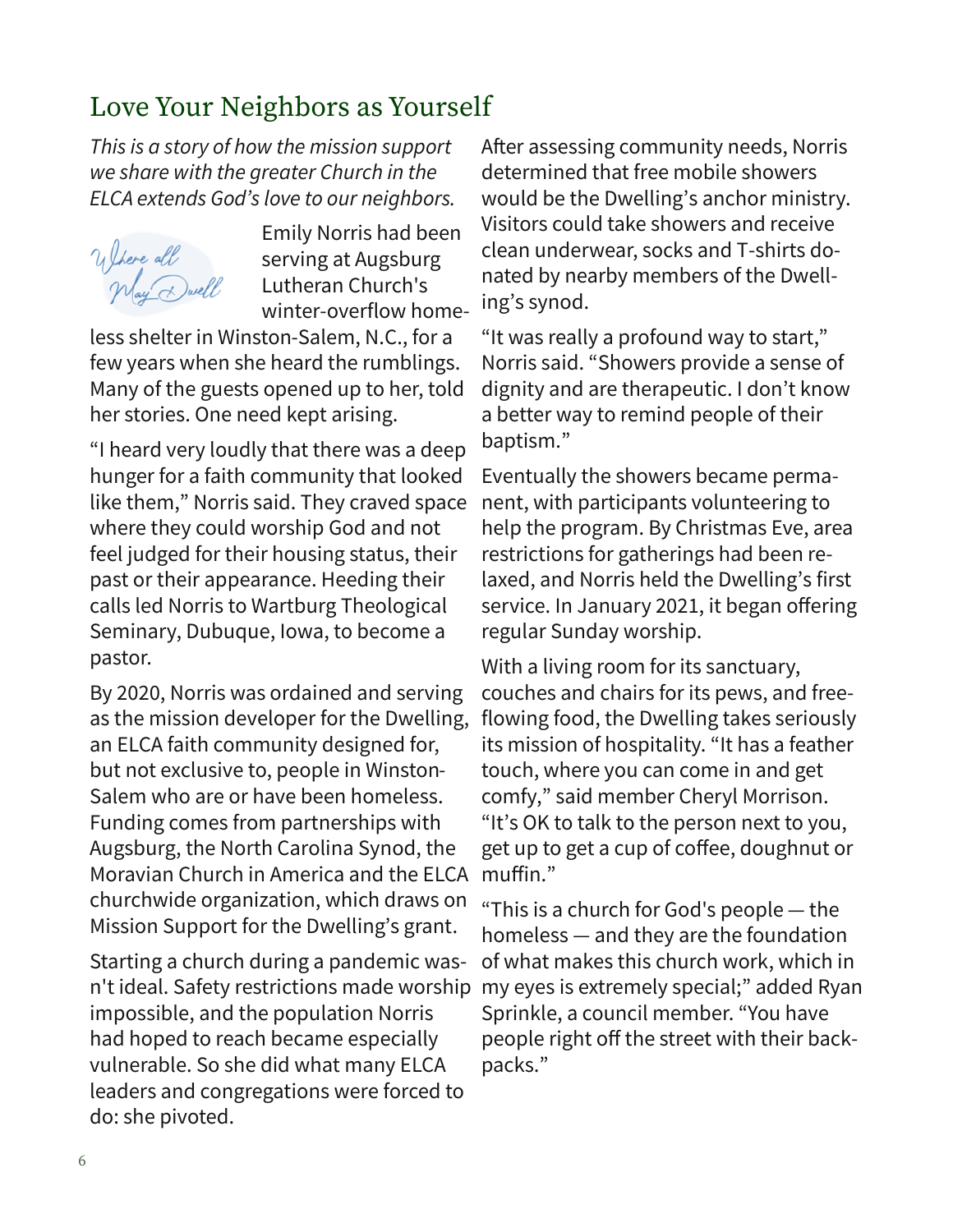## Love Your Neighbors as Yourself

*This is a story of how the mission support we share with the greater Church in the ELCA extends God's love to our neighbors.* 

Where all<br>May Dwell

Emily Norris had been serving at Augsburg Lutheran Church's winter-overflow home-

less shelter in Winston-Salem, N.C., for a few years when she heard the rumblings. Many of the guests opened up to her, told her stories. One need kept arising.

"I heard very loudly that there was a deep hunger for a faith community that looked like them," Norris said. They craved space where they could worship God and not feel judged for their housing status, their past or their appearance. Heeding their calls led Norris to Wartburg Theological Seminary, Dubuque, Iowa, to become a pastor.

By 2020, Norris was ordained and serving as the mission developer for the Dwelling, an ELCA faith community designed for, but not exclusive to, people in Winston-Salem who are or have been homeless. Funding comes from partnerships with Augsburg, the North Carolina Synod, the Moravian Church in America and the ELCA churchwide organization, which draws on Mission Support for the Dwelling's grant.

Starting a church during a pandemic wasn't ideal. Safety restrictions made worship impossible, and the population Norris had hoped to reach became especially vulnerable. So she did what many ELCA leaders and congregations were forced to do: she pivoted.

After assessing community needs, Norris determined that free mobile showers would be the Dwelling's anchor ministry. Visitors could take showers and receive clean underwear, socks and T-shirts donated by nearby members of the Dwelling's synod.

"It was really a profound way to start," Norris said. "Showers provide a sense of dignity and are therapeutic. I don't know a better way to remind people of their baptism."

Eventually the showers became permanent, with participants volunteering to help the program. By Christmas Eve, area restrictions for gatherings had been relaxed, and Norris held the Dwelling's first service. In January 2021, it began offering regular Sunday worship.

With a living room for its sanctuary, couches and chairs for its pews, and freeflowing food, the Dwelling takes seriously its mission of hospitality. "It has a feather touch, where you can come in and get comfy," said member Cheryl Morrison. "It's OK to talk to the person next to you, get up to get a cup of coffee, doughnut or muffin."

"This is a church for God's people — the homeless — and they are the foundation of what makes this church work, which in my eyes is extremely special;" added Ryan Sprinkle, a council member. "You have people right off the street with their backpacks."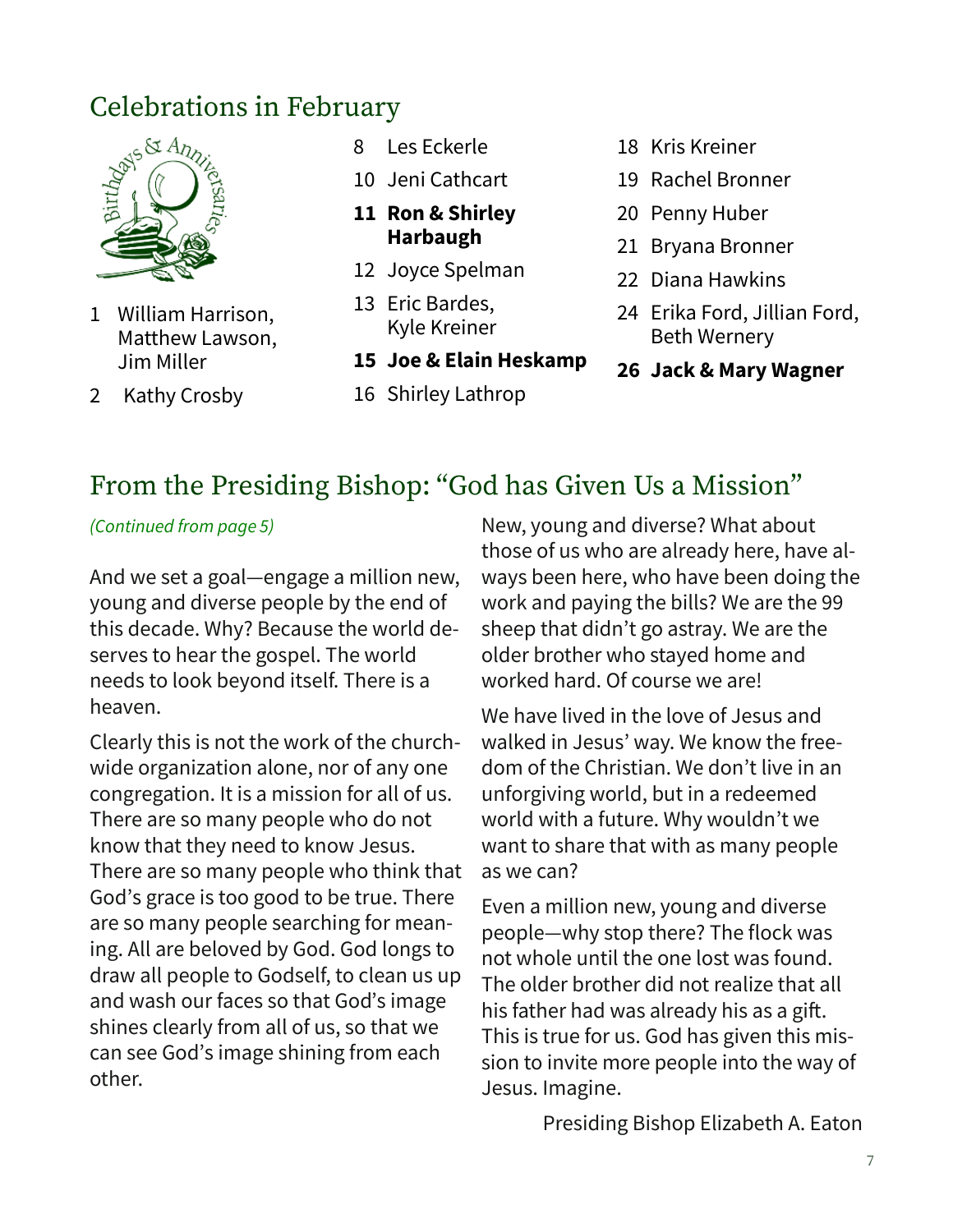

- 1 William Harrison, Matthew Lawson, Jim Miller
- 2 Kathy Crosby
- 8 Les Eckerle
- 10 Jeni Cathcart
- **11 Ron & Shirley Harbaugh**
- 12 Joyce Spelman
- 13 Eric Bardes, Kyle Kreiner
- **15 Joe & Elain Heskamp**
- 16 Shirley Lathrop
- 18 Kris Kreiner
- 19 Rachel Bronner
- 20 Penny Huber
- 21 Bryana Bronner
- 22 Diana Hawkins
- 24 Erika Ford, Jillian Ford, Beth Wernery
- **26 Jack & Mary Wagner**

## From the Presiding Bishop: "God has Given Us a Mission"

#### *(Continued from page 5)*

And we set a goal—engage a million new, young and diverse people by the end of this decade. Why? Because the world deserves to hear the gospel. The world needs to look beyond itself. There is a heaven.

Clearly this is not the work of the churchwide organization alone, nor of any one congregation. It is a mission for all of us. There are so many people who do not know that they need to know Jesus. There are so many people who think that God's grace is too good to be true. There are so many people searching for meaning. All are beloved by God. God longs to draw all people to Godself, to clean us up and wash our faces so that God's image shines clearly from all of us, so that we can see God's image shining from each other.

New, young and diverse? What about those of us who are already here, have always been here, who have been doing the work and paying the bills? We are the 99 sheep that didn't go astray. We are the older brother who stayed home and worked hard. Of course we are!

We have lived in the love of Jesus and walked in Jesus' way. We know the freedom of the Christian. We don't live in an unforgiving world, but in a redeemed world with a future. Why wouldn't we want to share that with as many people as we can?

Even a million new, young and diverse people—why stop there? The flock was not whole until the one lost was found. The older brother did not realize that all his father had was already his as a gift. This is true for us. God has given this mission to invite more people into the way of Jesus. Imagine.

Presiding Bishop Elizabeth A. Eaton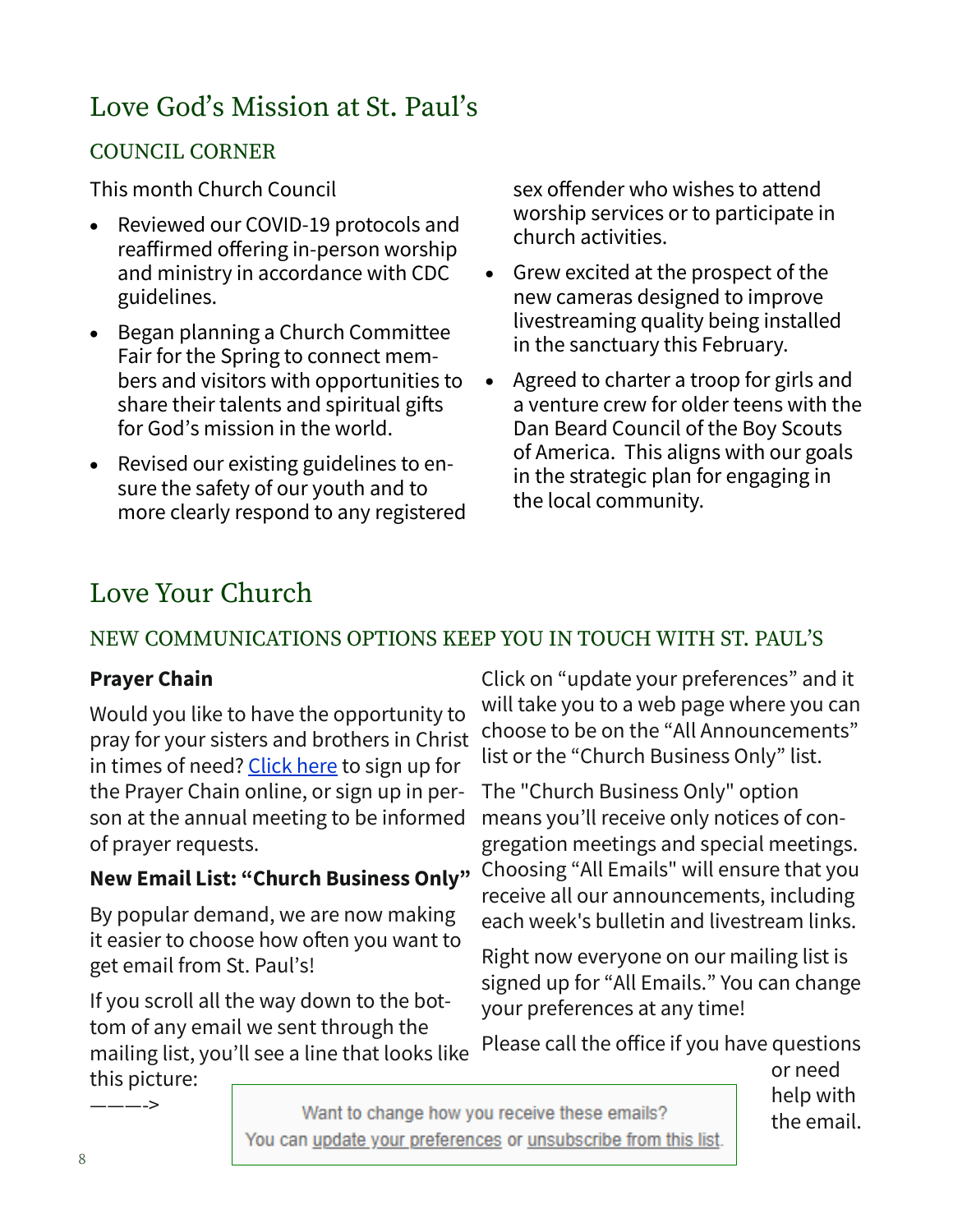## Love God's Mission at St. Paul's

## COUNCIL CORNER

This month Church Council

- Reviewed our COVID-19 protocols and reaffirmed offering in-person worship and ministry in accordance with CDC guidelines.
- Began planning a Church Committee Fair for the Spring to connect members and visitors with opportunities to share their talents and spiritual gifts for God's mission in the world.
- Revised our existing guidelines to ensure the safety of our youth and to more clearly respond to any registered

sex offender who wishes to attend worship services or to participate in church activities.

- Grew excited at the prospect of the new cameras designed to improve livestreaming quality being installed in the sanctuary this February.
- Agreed to charter a troop for girls and a venture crew for older teens with the Dan Beard Council of the Boy Scouts of America. This aligns with our goals in the strategic plan for engaging in the local community.

## Love Your Church

## NEW COMMUNICATIONS OPTIONS KEEP YOU IN TOUCH WITH ST. PAUL'S

### **Prayer Chain**

Would you like to have the opportunity to pray for your sisters and brothers in Christ in times of need? [Click here](https://mailchi.mp/bceae1b1b5e0/prayer-chain-email-signup) to sign up for the Prayer Chain online, or sign up in person at the annual meeting to be informed of prayer requests.

## **New Email List: "Church Business Only"**

By popular demand, we are now making it easier to choose how often you want to get email from St. Paul's!

If you scroll all the way down to the bottom of any email we sent through the mailing list, you'll see a line that looks like this picture:

Click on "update your preferences" and it will take you to a web page where you can choose to be on the "All Announcements" list or the "Church Business Only" list.

The "Church Business Only" option means you'll receive only notices of congregation meetings and special meetings. Choosing "All Emails" will ensure that you receive all our announcements, including each week's bulletin and livestream links.

Right now everyone on our mailing list is signed up for "All Emails." You can change your preferences at any time!

Please call the office if you have questions

or need help with the email.

———->

Want to change how you receive these emails? You can update your preferences or unsubscribe from this list.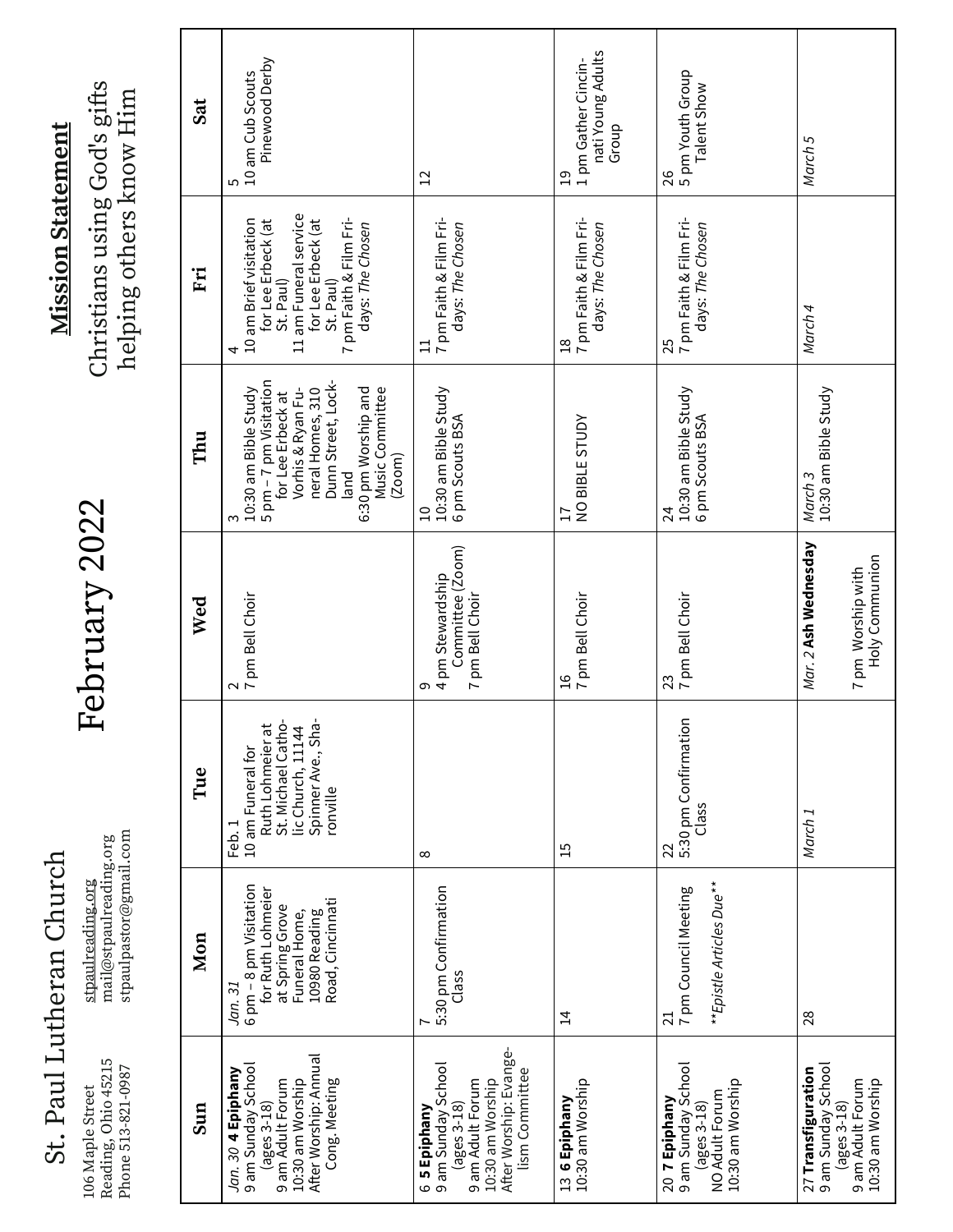St. Paul Lutheran Church St. Paul Lutheran Church

106 Maple Street<br>Reading, Ohio 45215<br>Phone 513-821-0987 Reading, Ohio 45215 Phone 513-821-0987 106 Maple Street

st<u>paulreading.org</u><br>mail@stpaulreading.org<br>stpaulpastor@gmail.com stpaulpastor@gmail.commail@stpaulreading.org stpaulreading.org

February 2022 February 2022

**Mission Statement Mission Statement** Christians using God's gifts<br>helping others know Him Christians using God's gifts helping others know Him

| Sun                                                                                                                                                     | Mon                                                                                                                             | Tue                                                                                                                        | Wed                                                                | Thu                                                                                                                                                                                                 | Ëi                                                                                                                                                                       | Sat                                                                |
|---------------------------------------------------------------------------------------------------------------------------------------------------------|---------------------------------------------------------------------------------------------------------------------------------|----------------------------------------------------------------------------------------------------------------------------|--------------------------------------------------------------------|-----------------------------------------------------------------------------------------------------------------------------------------------------------------------------------------------------|--------------------------------------------------------------------------------------------------------------------------------------------------------------------------|--------------------------------------------------------------------|
| After Worship: Annual<br><i>Jan. 30</i> <b>4 Epiphany</b><br>9 am Sunday School<br>10:30 am Worship<br>9 am Adult Forum<br>Cong. Meeting<br>(ages 3-18) | 6 pm - 8 pm Visitation<br>for Ruth Lohmeier<br>Road, Cincinnati<br>at Spring Grove<br>Funeral Home,<br>10980 Reading<br>Jan. 31 | Ruth Lohmeier at<br>St. Michael Catho-<br>lic Church, 11144<br>Spinner Ave., Sha<br>10 am Funeral for<br>ronville<br>Feb.1 | 2<br>17 pm Bell Choir                                              | 5 pm - 7 pm Visitation<br>Dunn Street, Lock-<br>10:30 am Bible Study<br>Vorhis & Ryan Fu-<br>neral Homes, 310<br>6:30 pm Worship and<br>Music Committee<br>for Lee Erbeck at<br>(200m)<br>land<br>ო | 11 am Funeral service<br>7 pm Faith & Film Fri-<br>10 am Brief visitation<br>for Lee Erbeck (at<br>for Lee Erbeck (at<br>days: The Chosen<br>St. Paul)<br>St. Paul)<br>4 | Pinewood Derby<br>10 am Cub Scouts<br>5                            |
| After Worship: Evange-<br>6 <b>5 Epiphany</b><br>9 am Sunday School<br>lism Committee<br>10:30 am Worship<br>9 am Adult Forum<br>(ages 3-18)            | 5:30 pm Confirmation<br>Class                                                                                                   | $\infty$                                                                                                                   | Committee (Zoom)<br>7 pm Bell Choir<br>4 pm Stewardship<br>თ       | 10:30 am Bible Study<br>6 pm Scouts BSA<br>$\Xi$                                                                                                                                                    | 7 pm Faith & Film Fri-<br>days: The Chosen<br>$\Xi$                                                                                                                      | $\overline{1}$                                                     |
| 13 <b>6 Epiphany</b><br>10:30 am Worship                                                                                                                | $\overline{4}$                                                                                                                  | $\overline{1}$                                                                                                             | 16<br>7 pm Bell Choir                                              | NO BIBLE STUDY<br>$\overline{17}$                                                                                                                                                                   | 18<br>7 pm Faith & Film Fri-<br>days: The Chosen                                                                                                                         | nati Young Adults<br>1 pm Gather Cincin-<br>Group<br>$\frac{1}{2}$ |
| 9 am Sunday School<br>10:30 am Worship<br>NO Adult Forum<br>20 7 Epiphany<br>$(\text{ages }3-18)$                                                       | **Epistle Articles Due**<br>7 pm Council Meeting<br>$\overline{z}$                                                              | 5:30 pm Confirmation<br>Class<br>22                                                                                        | 23<br>7 pm Bell Choir                                              | 10:30 am Bible Study<br>6 pm Scouts BSA<br>24                                                                                                                                                       | 25<br>7 pm Faith & Film Fri-<br>days: The Chosen                                                                                                                         | 5 pm Youth Group<br>Talent Show<br>26                              |
| 9 am Sunday School<br>27 Transfiguration<br>9 am Adult Forum<br>10:30 am Worship<br>$(ages 3-18)$                                                       | 28                                                                                                                              | March <sub>1</sub>                                                                                                         | Mar. 2 <b>Ash Wednesday</b><br>Holy Communion<br>7 pm Worship with | 10:30 am Bible Study<br>March <sub>3</sub>                                                                                                                                                          | March 4                                                                                                                                                                  | March 5                                                            |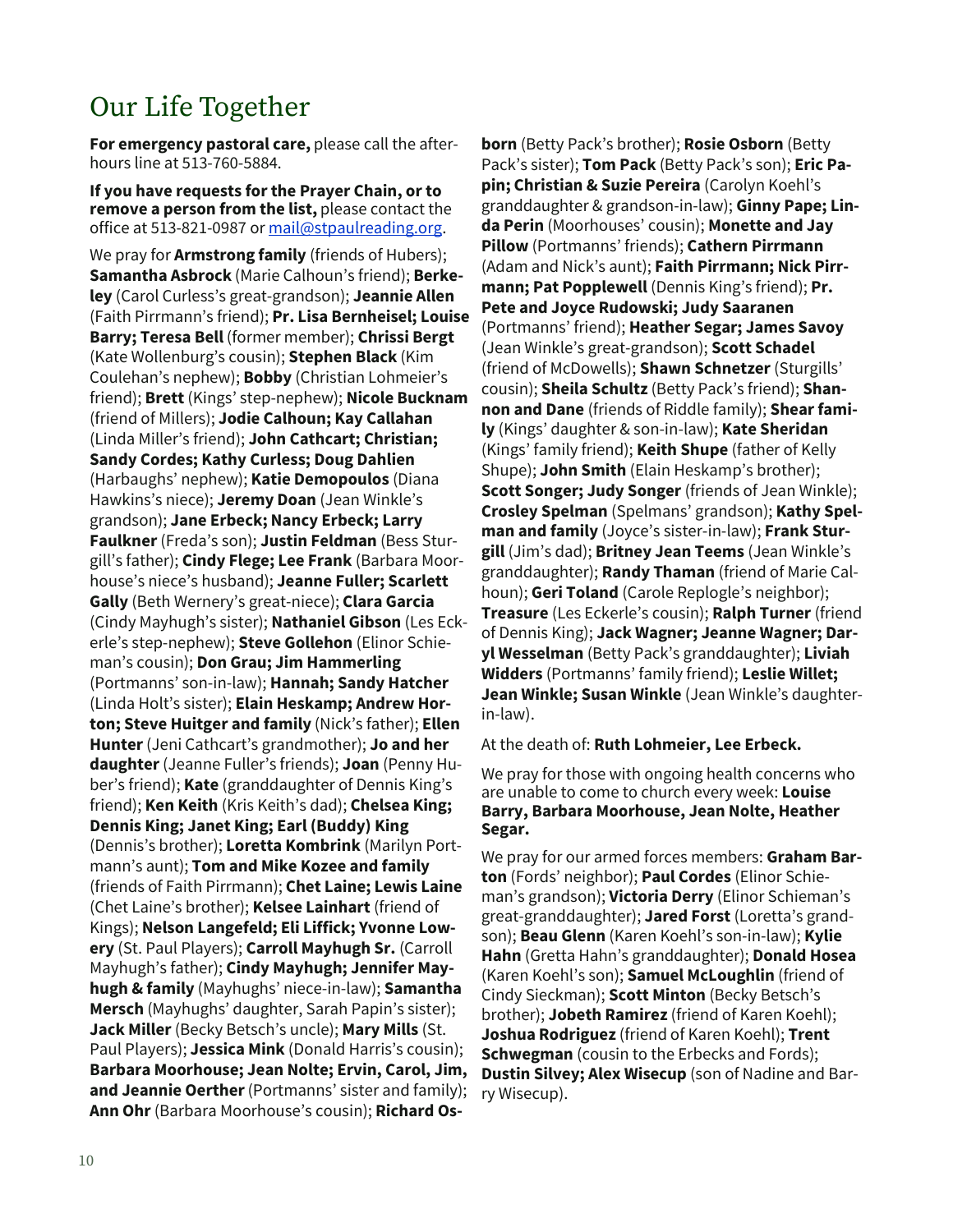## Our Life Together

**For emergency pastoral care,** please call the afterhours line at 513-760-5884.

**If you have requests for the Prayer Chain, or to remove a person from the list,** please contact the office at 513-821-0987 or [mail@stpaulreading.org.](mailto:mail@stpaulreading.org)

We pray for **Armstrong family** (friends of Hubers); **Samantha Asbrock** (Marie Calhoun's friend); **Berkeley** (Carol Curless's great-grandson); **Jeannie Allen**  (Faith Pirrmann's friend); **Pr. Lisa Bernheisel; Louise Barry; Teresa Bell** (former member); **Chrissi Bergt**  (Kate Wollenburg's cousin); **Stephen Black** (Kim Coulehan's nephew); **Bobby** (Christian Lohmeier's friend); **Brett** (Kings' step-nephew); **Nicole Bucknam**  (friend of Millers); **Jodie Calhoun; Kay Callahan**  (Linda Miller's friend); **John Cathcart; Christian; Sandy Cordes; Kathy Curless; Doug Dahlien**  (Harbaughs' nephew); **Katie Demopoulos** (Diana Hawkins's niece); **Jeremy Doan** (Jean Winkle's grandson); **Jane Erbeck; Nancy Erbeck; Larry Faulkner** (Freda's son); **Justin Feldman** (Bess Sturgill's father); **Cindy Flege; Lee Frank** (Barbara Moorhouse's niece's husband); **Jeanne Fuller; Scarlett Gally** (Beth Wernery's great-niece); **Clara Garcia**  (Cindy Mayhugh's sister); **Nathaniel Gibson** (Les Eckerle's step-nephew); **Steve Gollehon** (Elinor Schieman's cousin); **Don Grau; Jim Hammerling**  (Portmanns' son-in-law); **Hannah; Sandy Hatcher**  (Linda Holt's sister); **Elain Heskamp; Andrew Horton; Steve Huitger and family** (Nick's father); **Ellen Hunter** (Jeni Cathcart's grandmother); **Jo and her daughter**(Jeanne Fuller's friends); **Joan** (Penny Huber's friend); **Kate** (granddaughter of Dennis King's friend); **Ken Keith** (Kris Keith's dad); **Chelsea King; Dennis King; Janet King; Earl (Buddy) King**  (Dennis's brother); **Loretta Kombrink** (Marilyn Portmann's aunt); **Tom and Mike Kozee and family** (friends of Faith Pirrmann); **Chet Laine; Lewis Laine**  (Chet Laine's brother); **Kelsee Lainhart** (friend of Kings); **Nelson Langefeld; Eli Liffick; Yvonne Lowery** (St. Paul Players); **Carroll Mayhugh Sr.** (Carroll Mayhugh's father); **Cindy Mayhugh; Jennifer Mayhugh & family** (Mayhughs' niece-in-law); **Samantha Mersch** (Mayhughs' daughter, Sarah Papin's sister); **Jack Miller**(Becky Betsch's uncle); **Mary Mills** (St. Paul Players); **Jessica Mink** (Donald Harris's cousin); **Barbara Moorhouse; Jean Nolte; Ervin, Carol, Jim, and Jeannie Oerther** (Portmanns' sister and family); **Ann Ohr** (Barbara Moorhouse's cousin); **Richard Os-**

**born** (Betty Pack's brother); **Rosie Osborn** (Betty Pack's sister); **Tom Pack** (Betty Pack's son); **Eric Papin; Christian & Suzie Pereira** (Carolyn Koehl's granddaughter & grandson-in-law); **Ginny Pape; Linda Perin** (Moorhouses' cousin); **Monette and Jay Pillow** (Portmanns' friends); **Cathern Pirrmann**  (Adam and Nick's aunt); **Faith Pirrmann; Nick Pirrmann; Pat Popplewell** (Dennis King's friend); **Pr. Pete and Joyce Rudowski; Judy Saaranen** (Portmanns' friend); **Heather Segar; James Savoy**  (Jean Winkle's great-grandson); **Scott Schadel**  (friend of McDowells); **Shawn Schnetzer** (Sturgills' cousin); **Sheila Schultz** (Betty Pack's friend); **Shannon and Dane** (friends of Riddle family); **Shear family** (Kings' daughter & son-in-law); **Kate Sheridan**  (Kings' family friend); **Keith Shupe** (father of Kelly Shupe); **John Smith** (Elain Heskamp's brother); **Scott Songer; Judy Songer** (friends of Jean Winkle); **Crosley Spelman** (Spelmans' grandson); **Kathy Spelman and family** (Joyce's sister-in-law); **Frank Sturgill** (Jim's dad); **Britney Jean Teems** (Jean Winkle's granddaughter); **Randy Thaman** (friend of Marie Calhoun); **Geri Toland** (Carole Replogle's neighbor); **Treasure** (Les Eckerle's cousin); **Ralph Turner** (friend of Dennis King); **Jack Wagner; Jeanne Wagner; Daryl Wesselman** (Betty Pack's granddaughter); **Liviah Widders** (Portmanns' family friend); **Leslie Willet; Jean Winkle; Susan Winkle** (Jean Winkle's daughterin-law).

At the death of: **Ruth Lohmeier, Lee Erbeck.**

We pray for those with ongoing health concerns who are unable to come to church every week: **Louise Barry, Barbara Moorhouse, Jean Nolte, Heather Segar.**

We pray for our armed forces members: **Graham Barton** (Fords' neighbor); **Paul Cordes** (Elinor Schieman's grandson); **Victoria Derry** (Elinor Schieman's great-granddaughter); **Jared Forst** (Loretta's grandson); **Beau Glenn** (Karen Koehl's son-in-law); **Kylie Hahn** (Gretta Hahn's granddaughter); **Donald Hosea**  (Karen Koehl's son); **Samuel McLoughlin** (friend of Cindy Sieckman); **Scott Minton** (Becky Betsch's brother); **Jobeth Ramirez** (friend of Karen Koehl); **Joshua Rodriguez** (friend of Karen Koehl); **Trent Schwegman** (cousin to the Erbecks and Fords); **Dustin Silvey; Alex Wisecup** (son of Nadine and Barry Wisecup).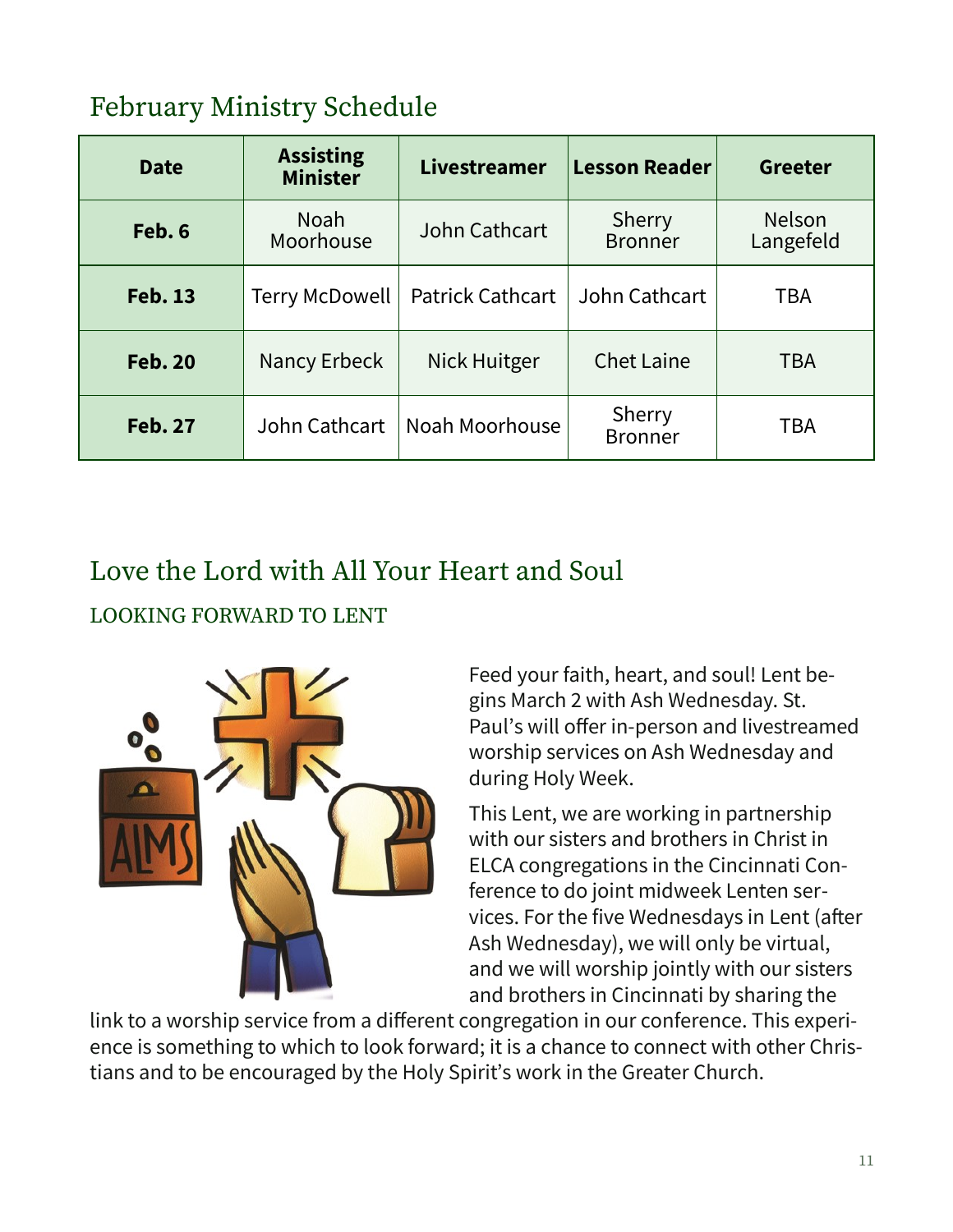## February Ministry Schedule

| <b>Date</b>    | <b>Assisting</b><br><b>Minister</b> | Livestreamer            | <b>Lesson Reader</b>     | <b>Greeter</b>             |
|----------------|-------------------------------------|-------------------------|--------------------------|----------------------------|
| Feb. 6         | <b>Noah</b><br>Moorhouse            | John Cathcart           | Sherry<br><b>Bronner</b> | <b>Nelson</b><br>Langefeld |
| <b>Feb. 13</b> | <b>Terry McDowell</b>               | <b>Patrick Cathcart</b> | John Cathcart            | TBA                        |
| <b>Feb. 20</b> | Nancy Erbeck                        | Nick Huitger            | <b>Chet Laine</b>        | <b>TBA</b>                 |
| <b>Feb. 27</b> | John Cathcart                       | Noah Moorhouse          | Sherry<br><b>Bronner</b> | <b>TBA</b>                 |

## Love the Lord with All Your Heart and Soul LOOKING FORWARD TO LENT



Feed your faith, heart, and soul! Lent begins March 2 with Ash Wednesday. St. Paul's will offer in-person and livestreamed worship services on Ash Wednesday and during Holy Week.

This Lent, we are working in partnership with our sisters and brothers in Christ in ELCA congregations in the Cincinnati Conference to do joint midweek Lenten services. For the five Wednesdays in Lent (after Ash Wednesday), we will only be virtual, and we will worship jointly with our sisters and brothers in Cincinnati by sharing the

link to a worship service from a different congregation in our conference. This experience is something to which to look forward; it is a chance to connect with other Christians and to be encouraged by the Holy Spirit's work in the Greater Church.